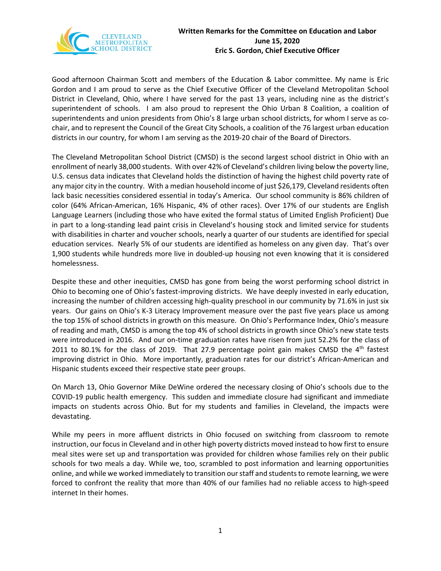

Good afternoon Chairman Scott and members of the Education & Labor committee. My name is Eric Gordon and I am proud to serve as the Chief Executive Officer of the Cleveland Metropolitan School District in Cleveland, Ohio, where I have served for the past 13 years, including nine as the district's superintendent of schools. I am also proud to represent the Ohio Urban 8 Coalition, a coalition of superintendents and union presidents from Ohio's 8 large urban school districts, for whom I serve as cochair, and to represent the Council of the Great City Schools, a coalition of the 76 largest urban education districts in our country, for whom I am serving as the 2019-20 chair of the Board of Directors.

The Cleveland Metropolitan School District (CMSD) is the second largest school district in Ohio with an enrollment of nearly 38,000 students. With over 42% of Cleveland's children living below the poverty line, U.S. census data indicates that Cleveland holds the distinction of having the highest child poverty rate of any major city in the country. With a median household income of just \$26,179, Cleveland residents often lack basic necessities considered essential in today's America. Our school community is 86% children of color (64% African-American, 16% Hispanic, 4% of other races). Over 17% of our students are English Language Learners (including those who have exited the formal status of Limited English Proficient) Due in part to a long-standing lead paint crisis in Cleveland's housing stock and limited service for students with disabilities in charter and voucher schools, nearly a quarter of our students are identified for special education services. Nearly 5% of our students are identified as homeless on any given day. That's over 1,900 students while hundreds more live in doubled-up housing not even knowing that it is considered homelessness.

Despite these and other inequities, CMSD has gone from being the worst performing school district in Ohio to becoming one of Ohio's fastest-improving districts. We have deeply invested in early education, increasing the number of children accessing high-quality preschool in our community by 71.6% in just six years. Our gains on Ohio's K-3 Literacy Improvement measure over the past five years place us among the top 15% of school districts in growth on this measure. On Ohio's Performance Index, Ohio's measure of reading and math, CMSD is among the top 4% of school districts in growth since Ohio's new state tests were introduced in 2016. And our on-time graduation rates have risen from just 52.2% for the class of 2011 to 80.1% for the class of 2019. That 27.9 percentage point gain makes CMSD the  $4<sup>th</sup>$  fastest improving district in Ohio. More importantly, graduation rates for our district's African-American and Hispanic students exceed their respective state peer groups.

On March 13, Ohio Governor Mike DeWine ordered the necessary closing of Ohio's schools due to the COVID-19 public health emergency. This sudden and immediate closure had significant and immediate impacts on students across Ohio. But for my students and families in Cleveland, the impacts were devastating.

While my peers in more affluent districts in Ohio focused on switching from classroom to remote instruction, our focus in Cleveland and in other high poverty districts moved instead to how first to ensure meal sites were set up and transportation was provided for children whose families rely on their public schools for two meals a day. While we, too, scrambled to post information and learning opportunities online, and while we worked immediately to transition our staff and students to remote learning, we were forced to confront the reality that more than 40% of our families had no reliable access to high-speed internet In their homes.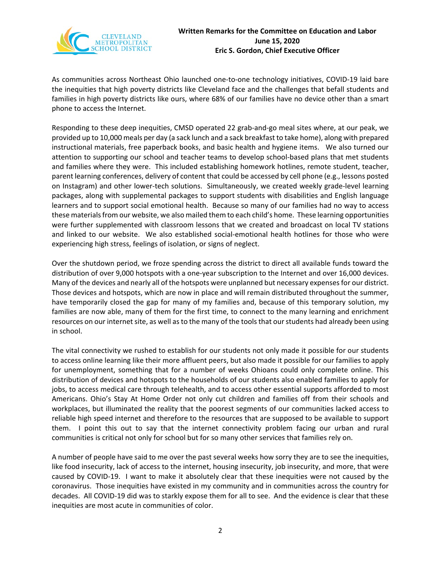

As communities across Northeast Ohio launched one-to-one technology initiatives, COVID-19 laid bare the inequities that high poverty districts like Cleveland face and the challenges that befall students and families in high poverty districts like ours, where 68% of our families have no device other than a smart phone to access the Internet.

Responding to these deep inequities, CMSD operated 22 grab-and-go meal sites where, at our peak, we provided up to 10,000 meals per day (a sack lunch and a sack breakfast to take home), along with prepared instructional materials, free paperback books, and basic health and hygiene items. We also turned our attention to supporting our school and teacher teams to develop school-based plans that met students and families where they were. This included establishing homework hotlines, remote student, teacher, parent learning conferences, delivery of content that could be accessed by cell phone (e.g., lessons posted on Instagram) and other lower-tech solutions. Simultaneously, we created weekly grade-level learning packages, along with supplemental packages to support students with disabilities and English language learners and to support social emotional health. Because so many of our families had no way to access these materials from our website, we also mailed them to each child's home. These learning opportunities were further supplemented with classroom lessons that we created and broadcast on local TV stations and linked to our website. We also established social-emotional health hotlines for those who were experiencing high stress, feelings of isolation, or signs of neglect.

Over the shutdown period, we froze spending across the district to direct all available funds toward the distribution of over 9,000 hotspots with a one-year subscription to the Internet and over 16,000 devices. Many of the devices and nearly all of the hotspots were unplanned but necessary expensesfor our district. Those devices and hotspots, which are now in place and will remain distributed throughout the summer, have temporarily closed the gap for many of my families and, because of this temporary solution, my families are now able, many of them for the first time, to connect to the many learning and enrichment resources on our internet site, as well as to the many of the tools that our students had already been using in school.

The vital connectivity we rushed to establish for our students not only made it possible for our students to access online learning like their more affluent peers, but also made it possible for our families to apply for unemployment, something that for a number of weeks Ohioans could only complete online. This distribution of devices and hotspots to the households of our students also enabled families to apply for jobs, to access medical care through telehealth, and to access other essential supports afforded to most Americans. Ohio's Stay At Home Order not only cut children and families off from their schools and workplaces, but illuminated the reality that the poorest segments of our communities lacked access to reliable high speed internet and therefore to the resources that are supposed to be available to support them. I point this out to say that the internet connectivity problem facing our urban and rural communities is critical not only for school but for so many other services that families rely on.

A number of people have said to me over the past several weeks how sorry they are to see the inequities, like food insecurity, lack of access to the internet, housing insecurity, job insecurity, and more, that were caused by COVID-19. I want to make it absolutely clear that these inequities were not caused by the coronavirus. Those inequities have existed in my community and in communities across the country for decades. All COVID-19 did was to starkly expose them for all to see. And the evidence is clear that these inequities are most acute in communities of color.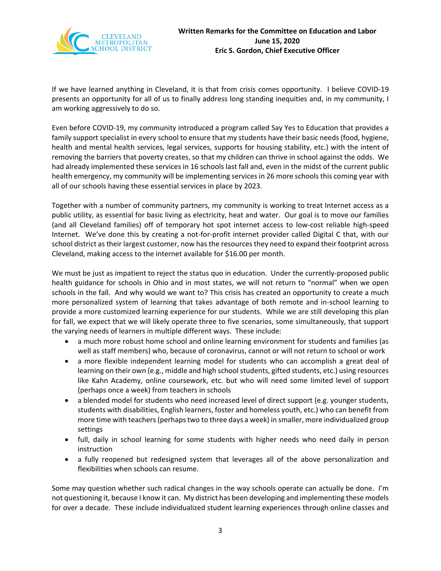

If we have learned anything in Cleveland, it is that from crisis comes opportunity. I believe COVID-19 presents an opportunity for all of us to finally address long standing inequities and, in my community, I am working aggressively to do so.

Even before COVID-19, my community introduced a program called Say Yes to Education that provides a family support specialist in every school to ensure that my students have their basic needs (food, hygiene, health and mental health services, legal services, supports for housing stability, etc.) with the intent of removing the barriers that poverty creates, so that my children can thrive in school against the odds. We had already implemented these services in 16 schools last fall and, even in the midst of the current public health emergency, my community will be implementing services in 26 more schools this coming year with all of our schools having these essential services in place by 2023.

Together with a number of community partners, my community is working to treat Internet access as a public utility, as essential for basic living as electricity, heat and water. Our goal is to move our families (and all Cleveland families) off of temporary hot spot internet access to low-cost reliable high-speed Internet. We've done this by creating a not-for-profit internet provider called Digital C that, with our school district as their largest customer, now has the resources they need to expand their footprint across Cleveland, making access to the internet available for \$16.00 per month.

We must be just as impatient to reject the status quo in education. Under the currently-proposed public health guidance for schools in Ohio and in most states, we will not return to "normal" when we open schools in the fall. And why would we want to? This crisis has created an opportunity to create a much more personalized system of learning that takes advantage of both remote and in-school learning to provide a more customized learning experience for our students. While we are still developing this plan for fall, we expect that we will likely operate three to five scenarios, some simultaneously, that support the varying needs of learners in multiple different ways. These include:

- a much more robust home school and online learning environment for students and families (as well as staff members) who, because of coronavirus, cannot or will not return to school or work
- a more flexible independent learning model for students who can accomplish a great deal of learning on their own (e.g., middle and high school students, gifted students, etc.) using resources like Kahn Academy, online coursework, etc. but who will need some limited level of support (perhaps once a week) from teachers in schools
- a blended model for students who need increased level of direct support (e.g. younger students, students with disabilities, English learners, foster and homeless youth, etc.) who can benefit from more time with teachers (perhaps two to three days a week) in smaller, more individualized group settings
- full, daily in school learning for some students with higher needs who need daily in person instruction
- a fully reopened but redesigned system that leverages all of the above personalization and flexibilities when schools can resume.

Some may question whether such radical changes in the way schools operate can actually be done. I'm not questioning it, because I know it can. My district has been developing and implementing these models for over a decade. These include individualized student learning experiences through online classes and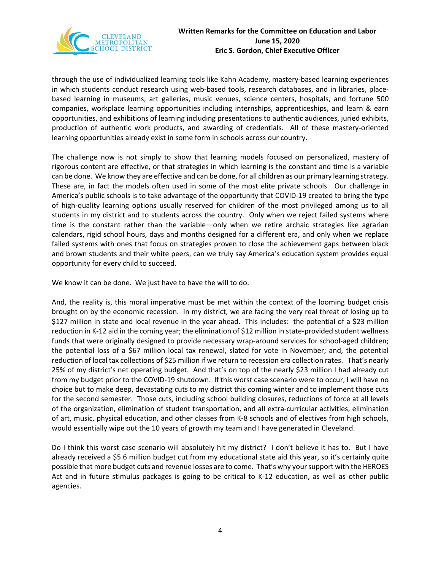

through the use of individualized learning tools like Kahn Academy, mastery-based learning experiences in which students conduct research using web-based tools, research databases, and in libraries, placebased learning in museums, art galleries, music venues, science centers, hospitals, and fortune 500 companies, workplace learning opportunities including internships, apprenticeships, and learn & earn opportunities, and exhibitions of learning including presentations to authentic audiences, juried exhibits, production of authentic work products, and awarding of credentials. All of these mastery-oriented learning opportunities already exist in some form in schools across our country.

The challenge now is not simply to show that learning models focused on personalized, mastery of rigorous content are effective, or that strategies in which learning is the constant and time is a variable can be done. We know they are effective and can be done, for all children as our primary learning strategy. These are, in fact the models often used in some of the most elite private schools. Our challenge in America's public schools is to take advantage of the opportunity that COVID-19 created to bring the type of high-quality learning options usually reserved for children of the most privileged among us to all students in my district and to students across the country. Only when we reject failed systems where time is the constant rather than the variable—only when we retire archaic strategies like agrarian calendars, rigid school hours, days and months designed for a different era, and only when we replace failed systems with ones that focus on strategies proven to close the achievement gaps between black and brown students and their white peers, can we truly say America's education system provides equal opportunity for every child to succeed.

We know it can be done. We just have to have the will to do.

And, the reality is, this moral imperative must be met within the context of the looming budget crisis brought on by the economic recession. In my district, we are facing the very real threat of losing up to \$127 million in state and local revenue in the year ahead. This includes: the potential of a \$23 million reduction in K-12 aid in the coming year; the elimination of \$12 million in state-provided student wellness funds that were originally designed to provide necessary wrap-around services for school-aged children; the potential loss of a \$67 million local tax renewal, slated for vote in November; and, the potential reduction of local tax collections of \$25 million if we return to recession era collection rates. That's nearly 25% of my district's net operating budget. And that's on top of the nearly \$23 million I had already cut from my budget prior to the COVID-19 shutdown. If this worst case scenario were to occur, I will have no choice but to make deep, devastating cuts to my district this coming winter and to implement those cuts for the second semester. Those cuts, including school building closures, reductions of force at all levels of the organization, elimination of student transportation, and all extra-curricular activities, elimination of art, music, physical education, and other classes from K-8 schools and of electives from high schools, would essentially wipe out the 10 years of growth my team and I have generated in Cleveland.

Do I think this worst case scenario will absolutely hit my district? I don't believe it has to. But I have already received a \$5.6 million budget cut from my educational state aid this year, so it's certainly quite possible that more budget cuts and revenue losses are to come. That's why your support with the HEROES Act and in future stimulus packages is going to be critical to K-12 education, as well as other public agencies.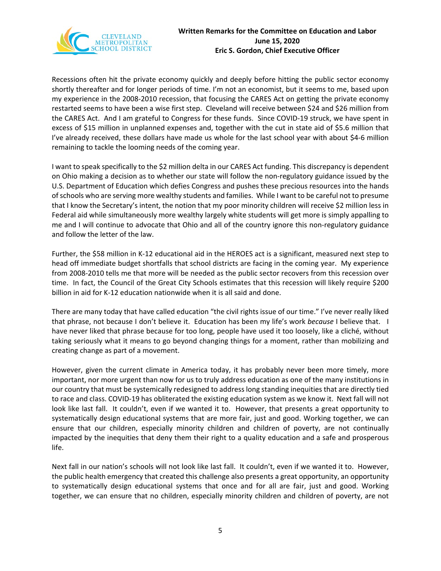

Recessions often hit the private economy quickly and deeply before hitting the public sector economy shortly thereafter and for longer periods of time. I'm not an economist, but it seems to me, based upon my experience in the 2008-2010 recession, that focusing the CARES Act on getting the private economy restarted seems to have been a wise first step. Cleveland will receive between \$24 and \$26 million from the CARES Act. And I am grateful to Congress for these funds. Since COVID-19 struck, we have spent in excess of \$15 million in unplanned expenses and, together with the cut in state aid of \$5.6 million that I've already received, these dollars have made us whole for the last school year with about \$4-6 million remaining to tackle the looming needs of the coming year.

I want to speak specifically to the \$2 million delta in our CARES Act funding. This discrepancy is dependent on Ohio making a decision as to whether our state will follow the non-regulatory guidance issued by the U.S. Department of Education which defies Congress and pushes these precious resources into the hands of schools who are serving more wealthy students and families. While I want to be careful not to presume that I know the Secretary's intent, the notion that my poor minority children will receive \$2 million less in Federal aid while simultaneously more wealthy largely white students will get more is simply appalling to me and I will continue to advocate that Ohio and all of the country ignore this non-regulatory guidance and follow the letter of the law.

Further, the \$58 million in K-12 educational aid in the HEROES act is a significant, measured next step to head off immediate budget shortfalls that school districts are facing in the coming year. My experience from 2008-2010 tells me that more will be needed as the public sector recovers from this recession over time. In fact, the Council of the Great City Schools estimates that this recession will likely require \$200 billion in aid for K-12 education nationwide when it is all said and done.

There are many today that have called education "the civil rights issue of our time." I've never really liked that phrase, not because I don't believe it. Education has been my life's work *because* I believe that. I have never liked that phrase because for too long, people have used it too loosely, like a cliché, without taking seriously what it means to go beyond changing things for a moment, rather than mobilizing and creating change as part of a movement.

However, given the current climate in America today, it has probably never been more timely, more important, nor more urgent than now for us to truly address education as one of the many institutions in our country that must be systemically redesigned to address long standing inequities that are directly tied to race and class. COVID-19 has obliterated the existing education system as we know it. Next fall will not look like last fall. It couldn't, even if we wanted it to. However, that presents a great opportunity to systematically design educational systems that are more fair, just and good. Working together, we can ensure that our children, especially minority children and children of poverty, are not continually impacted by the inequities that deny them their right to a quality education and a safe and prosperous life.

Next fall in our nation's schools will not look like last fall. It couldn't, even if we wanted it to. However, the public health emergency that created this challenge also presents a great opportunity, an opportunity to systematically design educational systems that once and for all are fair, just and good. Working together, we can ensure that no children, especially minority children and children of poverty, are not